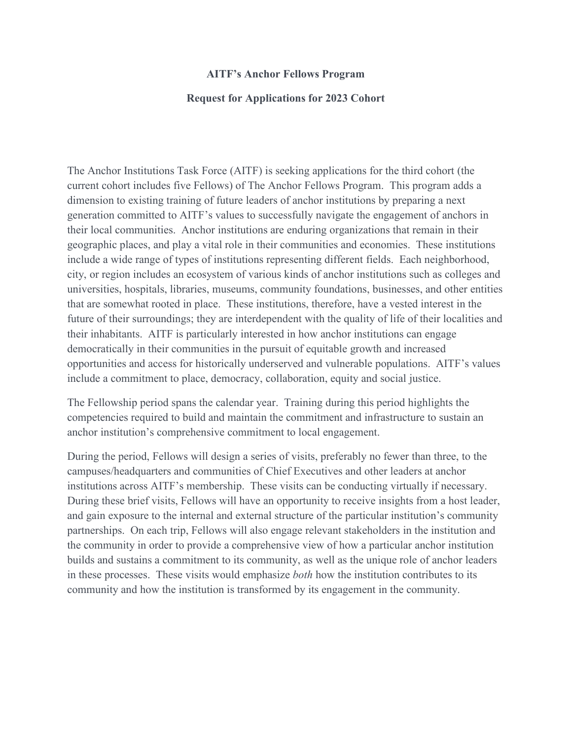## **AITF's Anchor Fellows Program**

## **Request for Applications for 2023 Cohort**

The Anchor Institutions Task Force (AITF) is seeking applications for the third cohort (the current cohort includes five Fellows) of The Anchor Fellows Program. This program adds a dimension to existing training of future leaders of anchor institutions by preparing a next generation committed to AITF's values to successfully navigate the engagement of anchors in their local communities. Anchor institutions are enduring organizations that remain in their geographic places, and play a vital role in their communities and economies.These institutions include a wide range of types of institutions representing different fields. Each neighborhood, city, or region includes an ecosystem of various kinds ofanchor institutions such as colleges and universities, hospitals, libraries, museums, community foundations, businesses, and other entities that are somewhat rooted in place. These institutions, therefore, have a vested interest in the future of their surroundings; they are interdependent with the quality of life of their localities and their inhabitants. AITF is particularly interested in how anchor institutions can engage democratically in their communities in the pursuit of equitable growth and increased opportunities and access for historically underserved and vulnerable populations. AITF's values include a commitment to place, democracy, collaboration, equity and social justice.

The Fellowship period spans the calendar year. Training during this period highlights the competencies required to build and maintain the commitment and infrastructure to sustain an anchor institution's comprehensive commitment to local engagement.

During the period, Fellows will design a series of visits, preferably no fewer than three, to the campuses/headquarters and communities ofChief Executives and other leaders at anchor institutions across AITF's membership. These visits can be conducting virtually if necessary. During these brief visits, Fellows will have an opportunity to receive insights from a host leader, and gain exposure to the internal and external structure of the particular institution's community partnerships. On each trip, Fellows will also engage relevant stakeholders in the institution and the community in order to provide a comprehensive view of how a particular anchor institution builds and sustains a commitment to its community, as well as the unique role of anchor leaders in these processes. These visits would emphasize *both* how the institution contributes to its community and how the institution is transformed by its engagement in the community.